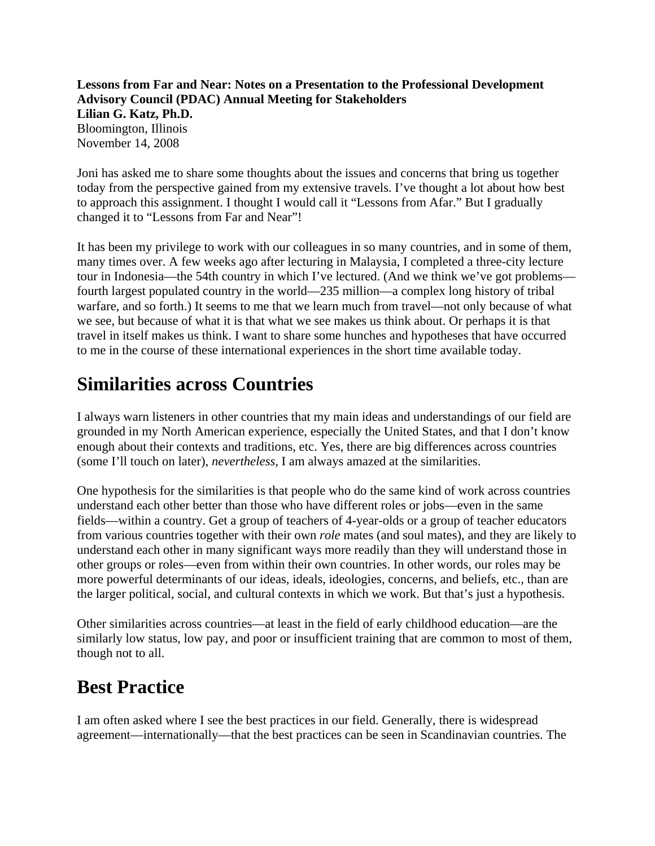**Lessons from Far and Near: Notes on a Presentation to the Professional Development Advisory Council (PDAC) Annual Meeting for Stakeholders Lilian G. Katz, Ph.D.** Bloomington, Illinois November 14, 2008

Joni has asked me to share some thoughts about the issues and concerns that bring us together today from the perspective gained from my extensive travels. I've thought a lot about how best to approach this assignment. I thought I would call it "Lessons from Afar." But I gradually changed it to "Lessons from Far and Near"!

It has been my privilege to work with our colleagues in so many countries, and in some of them, many times over. A few weeks ago after lecturing in Malaysia, I completed a three-city lecture tour in Indonesia—the 54th country in which I've lectured. (And we think we've got problems fourth largest populated country in the world—235 million—a complex long history of tribal warfare, and so forth.) It seems to me that we learn much from travel—not only because of what we see, but because of what it is that what we see makes us think about. Or perhaps it is that travel in itself makes us think. I want to share some hunches and hypotheses that have occurred to me in the course of these international experiences in the short time available today.

### **Similarities across Countries**

I always warn listeners in other countries that my main ideas and understandings of our field are grounded in my North American experience, especially the United States, and that I don't know enough about their contexts and traditions, etc. Yes, there are big differences across countries (some I'll touch on later), *nevertheless,* I am always amazed at the similarities.

One hypothesis for the similarities is that people who do the same kind of work across countries understand each other better than those who have different roles or jobs—even in the same fields—within a country. Get a group of teachers of 4-year-olds or a group of teacher educators from various countries together with their own *role* mates (and soul mates), and they are likely to understand each other in many significant ways more readily than they will understand those in other groups or roles—even from within their own countries. In other words, our roles may be more powerful determinants of our ideas, ideals, ideologies, concerns, and beliefs, etc., than are the larger political, social, and cultural contexts in which we work. But that's just a hypothesis.

Other similarities across countries—at least in the field of early childhood education—are the similarly low status, low pay, and poor or insufficient training that are common to most of them, though not to all.

### **Best Practice**

I am often asked where I see the best practices in our field. Generally, there is widespread agreement—internationally—that the best practices can be seen in Scandinavian countries. The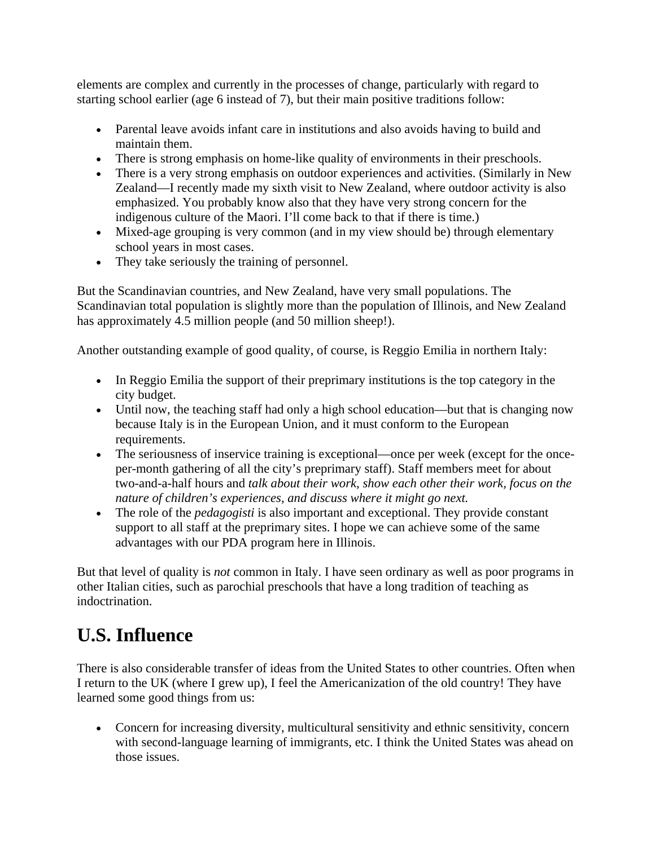elements are complex and currently in the processes of change, particularly with regard to starting school earlier (age 6 instead of 7), but their main positive traditions follow:

- Parental leave avoids infant care in institutions and also avoids having to build and maintain them.
- There is strong emphasis on home-like quality of environments in their preschools.
- There is a very strong emphasis on outdoor experiences and activities. (Similarly in New Zealand—I recently made my sixth visit to New Zealand, where outdoor activity is also emphasized. You probably know also that they have very strong concern for the indigenous culture of the Maori. I'll come back to that if there is time.)
- Mixed-age grouping is very common (and in my view should be) through elementary school years in most cases.
- They take seriously the training of personnel.

But the Scandinavian countries, and New Zealand, have very small populations. The Scandinavian total population is slightly more than the population of Illinois, and New Zealand has approximately 4.5 million people (and 50 million sheep!).

Another outstanding example of good quality, of course, is Reggio Emilia in northern Italy:

- In Reggio Emilia the support of their preprimary institutions is the top category in the city budget.
- Until now, the teaching staff had only a high school education—but that is changing now because Italy is in the European Union, and it must conform to the European requirements.
- The seriousness of inservice training is exceptional—once per week (except for the onceper-month gathering of all the city's preprimary staff). Staff members meet for about two-and-a-half hours and *talk about their work, show each other their work, focus on the nature of children's experiences, and discuss where it might go next.*
- The role of the *pedagogisti* is also important and exceptional. They provide constant support to all staff at the preprimary sites. I hope we can achieve some of the same advantages with our PDA program here in Illinois.

But that level of quality is *not* common in Italy. I have seen ordinary as well as poor programs in other Italian cities, such as parochial preschools that have a long tradition of teaching as indoctrination.

## **U.S. Influence**

There is also considerable transfer of ideas from the United States to other countries. Often when I return to the UK (where I grew up), I feel the Americanization of the old country! They have learned some good things from us:

 Concern for increasing diversity, multicultural sensitivity and ethnic sensitivity, concern with second-language learning of immigrants, etc. I think the United States was ahead on those issues.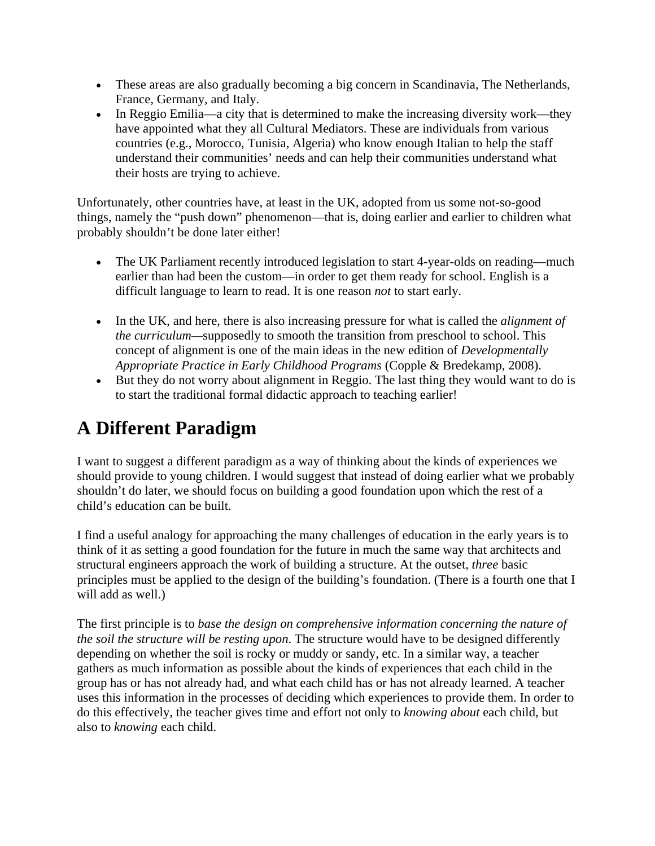- These areas are also gradually becoming a big concern in Scandinavia, The Netherlands, France, Germany, and Italy.
- In Reggio Emilia—a city that is determined to make the increasing diversity work—they have appointed what they all Cultural Mediators. These are individuals from various countries (e.g., Morocco, Tunisia, Algeria) who know enough Italian to help the staff understand their communities' needs and can help their communities understand what their hosts are trying to achieve.

Unfortunately, other countries have, at least in the UK, adopted from us some not-so-good things, namely the "push down" phenomenon—that is, doing earlier and earlier to children what probably shouldn't be done later either!

- The UK Parliament recently introduced legislation to start 4-year-olds on reading—much earlier than had been the custom—in order to get them ready for school. English is a difficult language to learn to read. It is one reason *not* to start early.
- In the UK, and here, there is also increasing pressure for what is called the *alignment of the curriculum—*supposedly to smooth the transition from preschool to school. This concept of alignment is one of the main ideas in the new edition of *Developmentally Appropriate Practice in Early Childhood Programs* (Copple & Bredekamp, 2008).
- But they do not worry about alignment in Reggio. The last thing they would want to do is to start the traditional formal didactic approach to teaching earlier!

# **A Different Paradigm**

I want to suggest a different paradigm as a way of thinking about the kinds of experiences we should provide to young children. I would suggest that instead of doing earlier what we probably shouldn't do later, we should focus on building a good foundation upon which the rest of a child's education can be built.

I find a useful analogy for approaching the many challenges of education in the early years is to think of it as setting a good foundation for the future in much the same way that architects and structural engineers approach the work of building a structure. At the outset, *three* basic principles must be applied to the design of the building's foundation. (There is a fourth one that I will add as well.)

The first principle is to *base the design on comprehensive information concerning the nature of the soil the structure will be resting upon*. The structure would have to be designed differently depending on whether the soil is rocky or muddy or sandy, etc. In a similar way, a teacher gathers as much information as possible about the kinds of experiences that each child in the group has or has not already had, and what each child has or has not already learned. A teacher uses this information in the processes of deciding which experiences to provide them. In order to do this effectively, the teacher gives time and effort not only to *knowing about* each child, but also to *knowing* each child.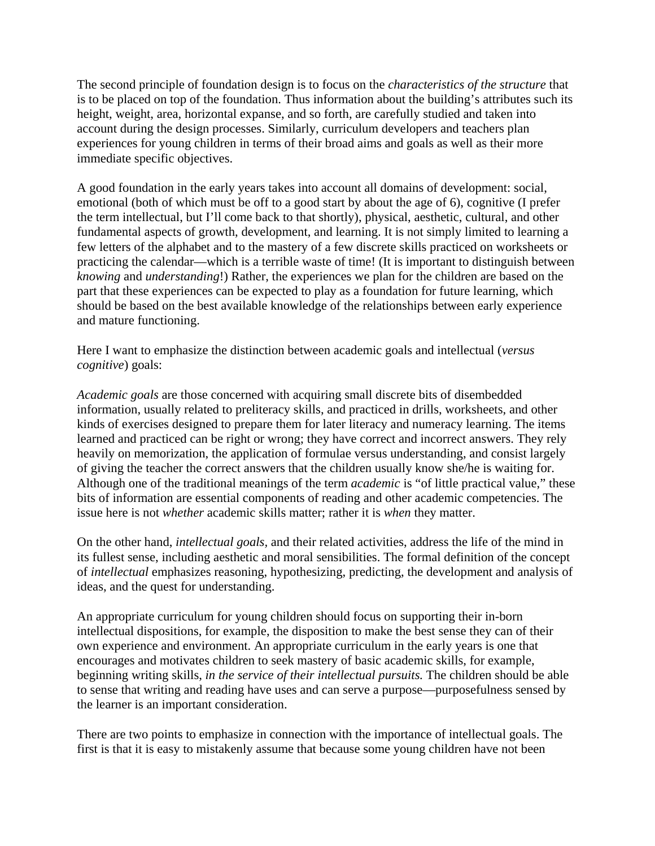The second principle of foundation design is to focus on the *characteristics of the structure* that is to be placed on top of the foundation. Thus information about the building's attributes such its height, weight, area, horizontal expanse, and so forth, are carefully studied and taken into account during the design processes. Similarly, curriculum developers and teachers plan experiences for young children in terms of their broad aims and goals as well as their more immediate specific objectives.

A good foundation in the early years takes into account all domains of development: social, emotional (both of which must be off to a good start by about the age of 6), cognitive (I prefer the term intellectual, but I'll come back to that shortly), physical, aesthetic, cultural, and other fundamental aspects of growth, development, and learning. It is not simply limited to learning a few letters of the alphabet and to the mastery of a few discrete skills practiced on worksheets or practicing the calendar—which is a terrible waste of time! (It is important to distinguish between *knowing* and *understanding*!) Rather, the experiences we plan for the children are based on the part that these experiences can be expected to play as a foundation for future learning, which should be based on the best available knowledge of the relationships between early experience and mature functioning.

Here I want to emphasize the distinction between academic goals and intellectual (*versus cognitive*) goals:

*Academic goals* are those concerned with acquiring small discrete bits of disembedded information, usually related to preliteracy skills, and practiced in drills, worksheets, and other kinds of exercises designed to prepare them for later literacy and numeracy learning. The items learned and practiced can be right or wrong; they have correct and incorrect answers. They rely heavily on memorization, the application of formulae versus understanding, and consist largely of giving the teacher the correct answers that the children usually know she/he is waiting for. Although one of the traditional meanings of the term *academic* is "of little practical value," these bits of information are essential components of reading and other academic competencies. The issue here is not *whether* academic skills matter; rather it is *when* they matter.

On the other hand, *intellectual goals,* and their related activities, address the life of the mind in its fullest sense, including aesthetic and moral sensibilities. The formal definition of the concept of *intellectual* emphasizes reasoning, hypothesizing, predicting, the development and analysis of ideas, and the quest for understanding.

An appropriate curriculum for young children should focus on supporting their in-born intellectual dispositions, for example, the disposition to make the best sense they can of their own experience and environment. An appropriate curriculum in the early years is one that encourages and motivates children to seek mastery of basic academic skills, for example, beginning writing skills, *in the service of their intellectual pursuits.* The children should be able to sense that writing and reading have uses and can serve a purpose—purposefulness sensed by the learner is an important consideration.

There are two points to emphasize in connection with the importance of intellectual goals. The first is that it is easy to mistakenly assume that because some young children have not been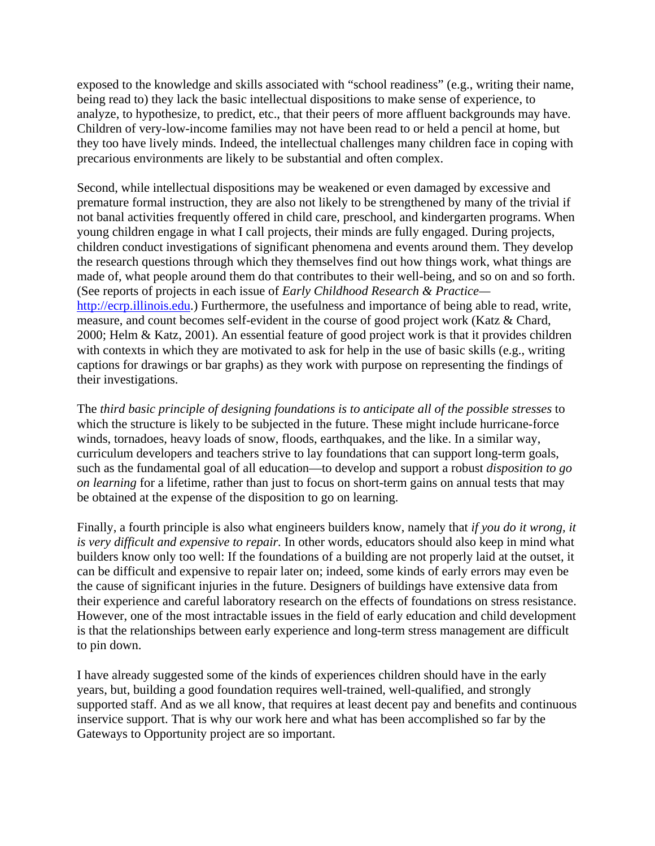exposed to the knowledge and skills associated with "school readiness" (e.g., writing their name, being read to) they lack the basic intellectual dispositions to make sense of experience, to analyze, to hypothesize, to predict, etc., that their peers of more affluent backgrounds may have. Children of very-low-income families may not have been read to or held a pencil at home, but they too have lively minds. Indeed, the intellectual challenges many children face in coping with precarious environments are likely to be substantial and often complex.

Second, while intellectual dispositions may be weakened or even damaged by excessive and premature formal instruction, they are also not likely to be strengthened by many of the trivial if not banal activities frequently offered in child care, preschool, and kindergarten programs. When young children engage in what I call projects, their minds are fully engaged. During projects, children conduct investigations of significant phenomena and events around them. They develop the research questions through which they themselves find out how things work, what things are made of, what people around them do that contributes to their well-being, and so on and so forth. (See reports of projects in each issue of *Early Childhood Research & Practice* http://ecrp.illinois.edu.) Furthermore, the usefulness and importance of being able to read, write, measure, and count becomes self-evident in the course of good project work (Katz & Chard, 2000; Helm & Katz, 2001). An essential feature of good project work is that it provides children with contexts in which they are motivated to ask for help in the use of basic skills (e.g., writing captions for drawings or bar graphs) as they work with purpose on representing the findings of their investigations.

The *third basic principle of designing foundations is to anticipate all of the possible stresses* to which the structure is likely to be subjected in the future. These might include hurricane-force winds, tornadoes, heavy loads of snow, floods, earthquakes, and the like. In a similar way, curriculum developers and teachers strive to lay foundations that can support long-term goals, such as the fundamental goal of all education—to develop and support a robust *disposition to go on learning* for a lifetime, rather than just to focus on short-term gains on annual tests that may be obtained at the expense of the disposition to go on learning.

Finally, a fourth principle is also what engineers builders know, namely that *if you do it wrong, it is very difficult and expensive to repair.* In other words, educators should also keep in mind what builders know only too well: If the foundations of a building are not properly laid at the outset, it can be difficult and expensive to repair later on; indeed, some kinds of early errors may even be the cause of significant injuries in the future. Designers of buildings have extensive data from their experience and careful laboratory research on the effects of foundations on stress resistance. However, one of the most intractable issues in the field of early education and child development is that the relationships between early experience and long-term stress management are difficult to pin down.

I have already suggested some of the kinds of experiences children should have in the early years, but, building a good foundation requires well-trained, well-qualified, and strongly supported staff. And as we all know, that requires at least decent pay and benefits and continuous inservice support. That is why our work here and what has been accomplished so far by the Gateways to Opportunity project are so important.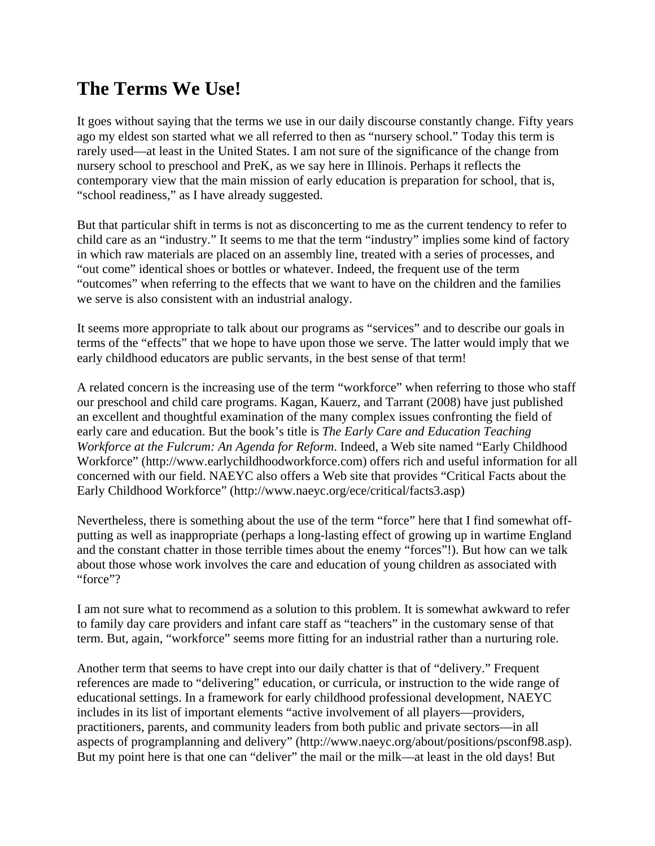### **The Terms We Use!**

It goes without saying that the terms we use in our daily discourse constantly change. Fifty years ago my eldest son started what we all referred to then as "nursery school." Today this term is rarely used—at least in the United States. I am not sure of the significance of the change from nursery school to preschool and PreK, as we say here in Illinois. Perhaps it reflects the contemporary view that the main mission of early education is preparation for school, that is, "school readiness," as I have already suggested.

But that particular shift in terms is not as disconcerting to me as the current tendency to refer to child care as an "industry." It seems to me that the term "industry" implies some kind of factory in which raw materials are placed on an assembly line, treated with a series of processes, and "out come" identical shoes or bottles or whatever. Indeed, the frequent use of the term "outcomes" when referring to the effects that we want to have on the children and the families we serve is also consistent with an industrial analogy.

It seems more appropriate to talk about our programs as "services" and to describe our goals in terms of the "effects" that we hope to have upon those we serve. The latter would imply that we early childhood educators are public servants, in the best sense of that term!

A related concern is the increasing use of the term "workforce" when referring to those who staff our preschool and child care programs. Kagan, Kauerz, and Tarrant (2008) have just published an excellent and thoughtful examination of the many complex issues confronting the field of early care and education. But the book's title is *The Early Care and Education Teaching Workforce at the Fulcrum: An Agenda for Reform*. Indeed, a Web site named "Early Childhood Workforce" (http://www.earlychildhoodworkforce.com) offers rich and useful information for all concerned with our field. NAEYC also offers a Web site that provides "Critical Facts about the Early Childhood Workforce" (http://www.naeyc.org/ece/critical/facts3.asp)

Nevertheless, there is something about the use of the term "force" here that I find somewhat offputting as well as inappropriate (perhaps a long-lasting effect of growing up in wartime England and the constant chatter in those terrible times about the enemy "forces"!). But how can we talk about those whose work involves the care and education of young children as associated with "force"?

I am not sure what to recommend as a solution to this problem. It is somewhat awkward to refer to family day care providers and infant care staff as "teachers" in the customary sense of that term. But, again, "workforce" seems more fitting for an industrial rather than a nurturing role.

Another term that seems to have crept into our daily chatter is that of "delivery." Frequent references are made to "delivering" education, or curricula, or instruction to the wide range of educational settings. In a framework for early childhood professional development, NAEYC includes in its list of important elements "active involvement of all players—providers, practitioners, parents, and community leaders from both public and private sectors—in all aspects of programplanning and delivery" (http://www.naeyc.org/about/positions/psconf98.asp). But my point here is that one can "deliver" the mail or the milk—at least in the old days! But